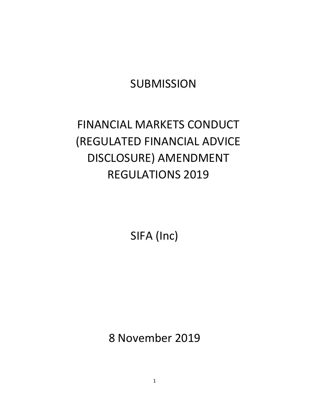# **SUBMISSION**

# FINANCIAL MARKETS CONDUCT (REGULATED FINANCIAL ADVICE DISCLOSURE) AMENDMENT REGULATIONS 2019

SIFA (Inc)

8 November 2019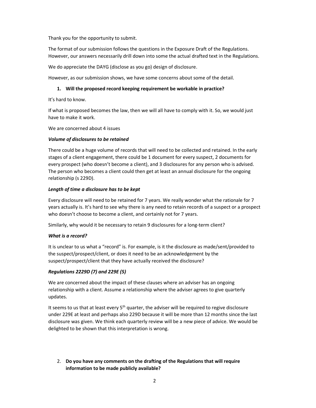Thank you for the opportunity to submit.

The format of our submission follows the questions in the Exposure Draft of the Regulations. However, our answers necessarily drill down into some the actual drafted text in the Regulations.

We do appreciate the DAYG (disclose as you go) design of disclosure.

However, as our submission shows, we have some concerns about some of the detail.

# 1. Will the proposed record keeping requirement be workable in practice?

It's hard to know.

If what is proposed becomes the law, then we will all have to comply with it. So, we would just have to make it work.

We are concerned about 4 issues

# Volume of disclosures to be retained

There could be a huge volume of records that will need to be collected and retained. In the early stages of a client engagement, there could be 1 document for every suspect, 2 documents for every prospect (who doesn't become a client), and 3 disclosures for any person who is advised. The person who becomes a client could then get at least an annual disclosure for the ongoing relationship (s 229D).

# Length of time a disclosure has to be kept

Every disclosure will need to be retained for 7 years. We really wonder what the rationale for 7 years actually is. It's hard to see why there is any need to retain records of a suspect or a prospect who doesn't choose to become a client, and certainly not for 7 years.

Similarly, why would it be necessary to retain 9 disclosures for a long-term client?

# What is a record?

It is unclear to us what a "record" is. For example, is it the disclosure as made/sent/provided to the suspect/prospect/client, or does it need to be an acknowledgement by the suspect/prospect/client that they have actually received the disclosure?

# Regulations 2229D (7) and 229E (5)

We are concerned about the impact of these clauses where an adviser has an ongoing relationship with a client. Assume a relationship where the adviser agrees to give quarterly updates.

It seems to us that at least every  $5<sup>th</sup>$  quarter, the adviser will be required to regive disclosure under 229E at least and perhaps also 229D because it will be more than 12 months since the last disclosure was given. We think each quarterly review will be a new piece of advice. We would be delighted to be shown that this interpretation is wrong.

2. Do you have any comments on the drafting of the Regulations that will require information to be made publicly available?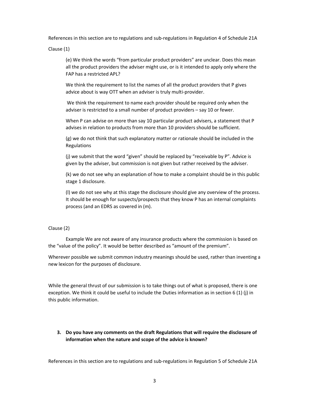References in this section are to regulations and sub-regulations in Regulation 4 of Schedule 21A

Clause (1)

(e) We think the words "from particular product providers" are unclear. Does this mean all the product providers the adviser might use, or is it intended to apply only where the FAP has a restricted APL?

We think the requirement to list the names of all the product providers that P gives advice about is way OTT when an adviser is truly multi-provider.

 We think the requirement to name each provider should be required only when the adviser is restricted to a small number of product providers – say 10 or fewer.

When P can advise on more than say 10 particular product advisers, a statement that P advises in relation to products from more than 10 providers should be sufficient.

(g) we do not think that such explanatory matter or rationale should be included in the Regulations

(j) we submit that the word "given" should be replaced by "receivable by P". Advice is given by the adviser, but commission is not given but rather received by the adviser.

(k) we do not see why an explanation of how to make a complaint should be in this public stage 1 disclosure.

(l) we do not see why at this stage the disclosure should give any overview of the process. It should be enough for suspects/prospects that they know P has an internal complaints process (and an EDRS as covered in (m).

#### Clause (2)

 Example We are not aware of any insurance products where the commission is based on the "value of the policy". It would be better described as "amount of the premium".

Wherever possible we submit common industry meanings should be used, rather than inventing a new lexicon for the purposes of disclosure.

While the general thrust of our submission is to take things out of what is proposed, there is one exception. We think it could be useful to include the Duties information as in section 6 (1) (j) in this public information.

3. Do you have any comments on the draft Regulations that will require the disclosure of information when the nature and scope of the advice is known?

References in this section are to regulations and sub-regulations in Regulation 5 of Schedule 21A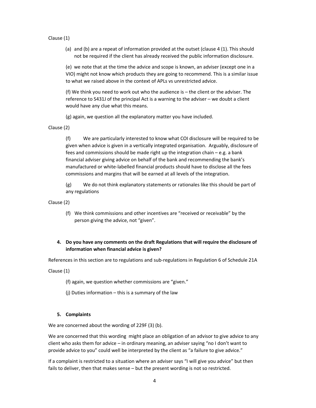- Clause (1)
	- (a) and (b) are a repeat of information provided at the outset (clause 4 (1). This should not be required if the client has already received the public information disclosure.

(e) we note that at the time the advice and scope is known, an adviser (except one in a VIO) might not know which products they are going to recommend. This is a similar issue to what we raised above in the context of APLs vs unrestricted advice.

(f) We think you need to work out who the audience is – the client or the adviser. The reference to S431J of the principal Act is a warning to the adviser – we doubt a client would have any clue what this means.

(g) again, we question all the explanatory matter you have included.

Clause (2)

(f) We are particularly interested to know what COI disclosure will be required to be given when advice is given in a vertically integrated organisation. Arguably, disclosure of fees and commissions should be made right up the integration chain – e.g. a bank financial adviser giving advice on behalf of the bank and recommending the bank's manufactured or white-labelled financial products should have to disclose all the fees commissions and margins that will be earned at all levels of the integration.

(g) We do not think explanatory statements or rationales like this should be part of any regulations

Clause (2)

(f) We think commissions and other incentives are "received or receivable" by the person giving the advice, not "given".

# 4. Do you have any comments on the draft Regulations that will require the disclosure of information when financial advice is given?

References in this section are to regulations and sub-regulations in Regulation 6 of Schedule 21A

Clause (1)

(f) again, we question whether commissions are "given."

(j) Duties information – this is a summary of the law

# 5. Complaints

We are concerned about the wording of 229F (3) (b).

We are concerned that this wording might place an obligation of an advisor to give advice to any client who asks them for advice – in ordinary meaning, an adviser saying "no I don't want to provide advice to you" could well be interpreted by the client as "a failure to give advice."

If a complaint is restricted to a situation where an adviser says "I will give you advice" but then fails to deliver, then that makes sense - but the present wording is not so restricted.